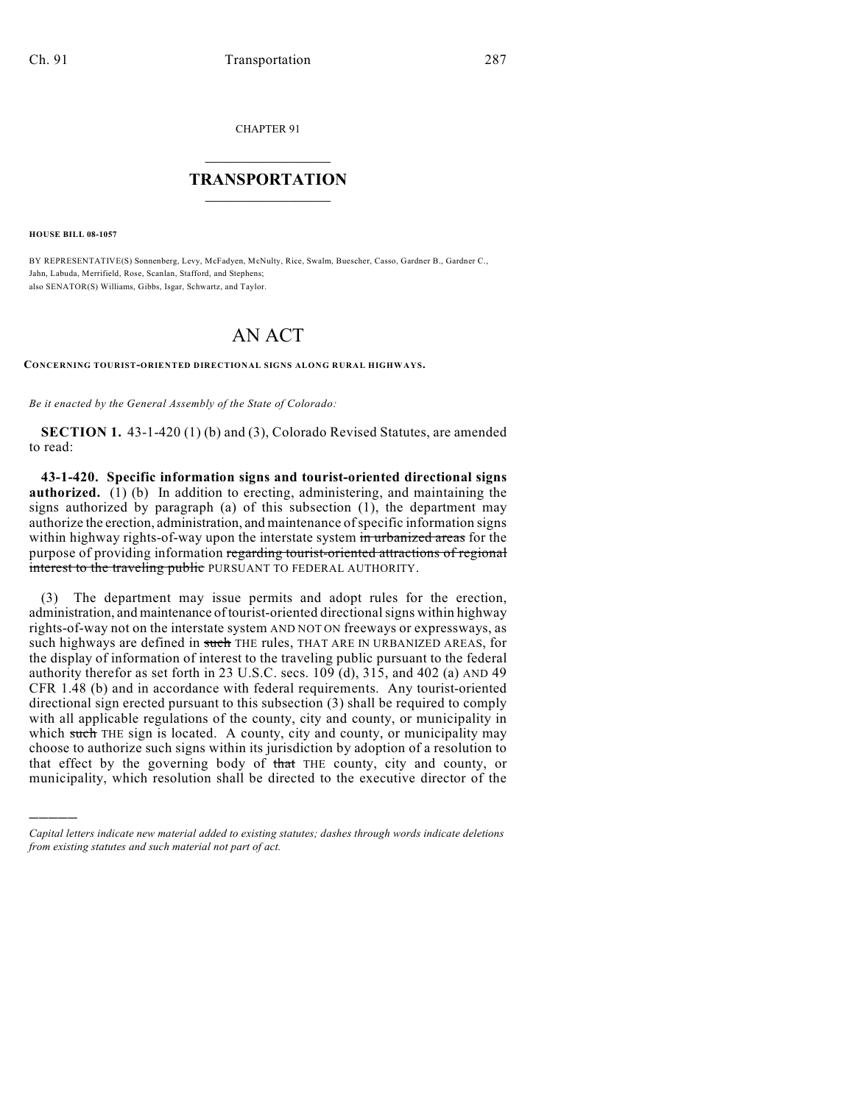CHAPTER 91

## $\mathcal{L}_\text{max}$  . The set of the set of the set of the set of the set of the set of the set of the set of the set of the set of the set of the set of the set of the set of the set of the set of the set of the set of the set **TRANSPORTATION**  $\_$   $\_$   $\_$   $\_$   $\_$   $\_$   $\_$   $\_$   $\_$

**HOUSE BILL 08-1057**

)))))

BY REPRESENTATIVE(S) Sonnenberg, Levy, McFadyen, McNulty, Rice, Swalm, Buescher, Casso, Gardner B., Gardner C., Jahn, Labuda, Merrifield, Rose, Scanlan, Stafford, and Stephens; also SENATOR(S) Williams, Gibbs, Isgar, Schwartz, and Taylor.

## AN ACT

**CONCERNING TOURIST-ORIENTED DIRECTIONAL SIGNS ALONG RURAL HIGHWAYS.**

*Be it enacted by the General Assembly of the State of Colorado:*

**SECTION 1.** 43-1-420 (1) (b) and (3), Colorado Revised Statutes, are amended to read:

**43-1-420. Specific information signs and tourist-oriented directional signs authorized.** (1) (b) In addition to erecting, administering, and maintaining the signs authorized by paragraph (a) of this subsection (1), the department may authorize the erection, administration, and maintenance of specific information signs within highway rights-of-way upon the interstate system in urbanized areas for the purpose of providing information regarding tourist-oriented attractions of regional interest to the traveling public PURSUANT TO FEDERAL AUTHORITY.

(3) The department may issue permits and adopt rules for the erection, administration, and maintenance of tourist-oriented directional signs within highway rights-of-way not on the interstate system AND NOT ON freeways or expressways, as such highways are defined in such THE rules, THAT ARE IN URBANIZED AREAS, for the display of information of interest to the traveling public pursuant to the federal authority therefor as set forth in 23 U.S.C. secs. 109 (d), 315, and 402 (a) AND 49 CFR 1.48 (b) and in accordance with federal requirements. Any tourist-oriented directional sign erected pursuant to this subsection (3) shall be required to comply with all applicable regulations of the county, city and county, or municipality in which such THE sign is located. A county, city and county, or municipality may choose to authorize such signs within its jurisdiction by adoption of a resolution to that effect by the governing body of that THE county, city and county, or municipality, which resolution shall be directed to the executive director of the

*Capital letters indicate new material added to existing statutes; dashes through words indicate deletions from existing statutes and such material not part of act.*